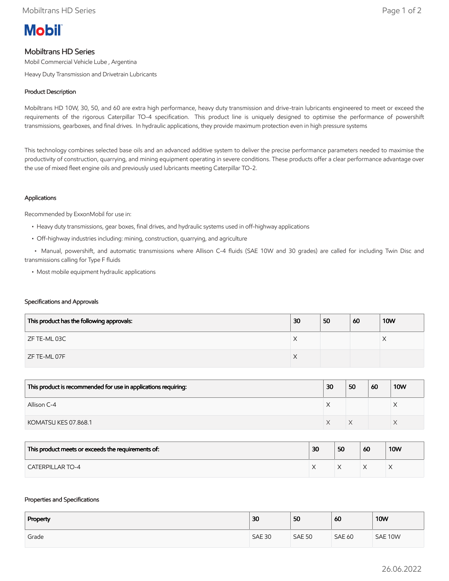

# Mobiltrans HD Series

Mobil Commercial Vehicle Lube , Argentina

Heavy Duty Transmission and Drivetrain Lubricants

## Product Description

Mobiltrans HD 10W, 30, 50, and 60 are extra high performance, heavy duty transmission and drive-train lubricants engineered to meet or exceed the requirements of the rigorous Caterpillar TO-4 specification. This product line is uniquely designed to optimise the performance of powershift transmissions, gearboxes, and final drives. In hydraulic applications, they provide maximum protection even in high pressure systems

This technology combines selected base oils and an advanced additive system to deliver the precise performance parameters needed to maximise the productivity of construction, quarrying, and mining equipment operating in severe conditions. These products offer a clear performance advantage over the use of mixed fleet engine oils and previously used lubricants meeting Caterpillar TO-2.

## Applications

Recommended by ExxonMobil for use in:

- Heavy duty transmissions, gear boxes, final drives, and hydraulic systems used in off-highway applications
- Off-highway industries including: mining, construction, quarrying, and agriculture

 • Manual, powershift, and automatic transmissions where Allison C-4 fluids (SAE 10W and 30 grades) are called for including Twin Disc and transmissions calling for Type F fluids

• Most mobile equipment hydraulic applications

#### Specifications and Approvals

| This product has the following approvals: | 30 | 50 | 60 | <b>10W</b> |
|-------------------------------------------|----|----|----|------------|
| ZF TE-ML 03C                              | X  |    |    | ∧          |
| ZF TE-ML 07F                              | X  |    |    |            |

| This product is recommended for use in applications requiring: | 30 | 50 | 60 | <b>10W</b> |
|----------------------------------------------------------------|----|----|----|------------|
| Allison C-4                                                    |    |    |    |            |
| KOMATSU KES 07.868.1                                           |    |    |    |            |

| This product meets or exceeds the requirements of: | 30 | 50 | 60 | <b>10W</b> |
|----------------------------------------------------|----|----|----|------------|
| <b>CATERPILLAR TO-4</b>                            |    |    |    |            |

#### Properties and Specifications

| Property | 30            | 50            | 60            | <b>10W</b> |
|----------|---------------|---------------|---------------|------------|
| Grade    | <b>SAE 30</b> | <b>SAE 50</b> | <b>SAE 60</b> | SAE 10W    |